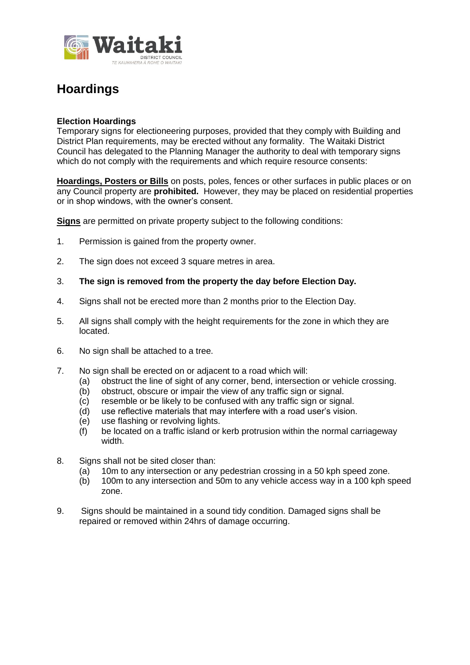

## **Hoardings**

## **Election Hoardings**

Temporary signs for electioneering purposes, provided that they comply with Building and District Plan requirements, may be erected without any formality. The Waitaki District Council has delegated to the Planning Manager the authority to deal with temporary signs which do not comply with the requirements and which require resource consents:

**Hoardings, Posters or Bills** on posts, poles, fences or other surfaces in public places or on any Council property are **prohibited.** However, they may be placed on residential properties or in shop windows, with the owner's consent.

**Signs** are permitted on private property subject to the following conditions:

- 1. Permission is gained from the property owner.
- 2. The sign does not exceed 3 square metres in area.
- 3. **The sign is removed from the property the day before Election Day.**
- 4. Signs shall not be erected more than 2 months prior to the Election Day.
- 5. All signs shall comply with the height requirements for the zone in which they are located.
- 6. No sign shall be attached to a tree.
- 7. No sign shall be erected on or adjacent to a road which will:
	- (a) obstruct the line of sight of any corner, bend, intersection or vehicle crossing.
	- (b) obstruct, obscure or impair the view of any traffic sign or signal.
	- (c) resemble or be likely to be confused with any traffic sign or signal.
	- (d) use reflective materials that may interfere with a road user's vision.
	- (e) use flashing or revolving lights.
	- (f) be located on a traffic island or kerb protrusion within the normal carriageway width.
- 8. Signs shall not be sited closer than:
	- $(a)$  10m to any intersection or any pedestrian crossing in a 50 kph speed zone.
	- (b) 100m to any intersection and 50m to any vehicle access way in a 100 kph speed zone.
- 9. Signs should be maintained in a sound tidy condition. Damaged signs shall be repaired or removed within 24hrs of damage occurring.